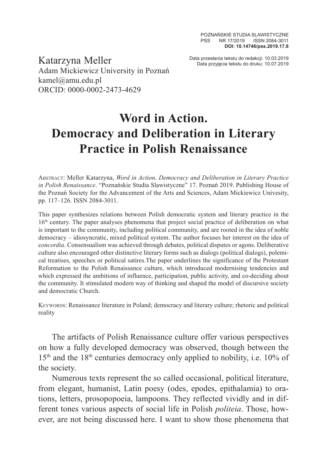Data przesłania tekstu do redakcji: 10.03.2019 Katarzyna Meller Data przyjęcia tekstu do druku: 10.07.2019 Adam Mickiewicz University in Poznań kamel@amu.edu.pl ORCID: 0000-0002-2473-4629

## **Word in Action. Democracy and Deliberation in Literary Practice in Polish Renaissance**

Abstract: Meller Katarzyna, *Word in Action. Democracy and Deliberation in Literary Practice in Polish Renaissance*. "Poznańskie Studia Slawistyczne" 17. Poznań 2019. Publishing House of the Poznań Society for the Advancement of the Arts and Sciences, Adam Mickiewicz Univesity, pp. 117–126. ISSN 2084-3011.

This paper synthesizes relations between Polish democratic system and literary practice in the 16th century. The paper analyses phenomena that project social practice of deliberation on what is important to the community, including political community, and are rooted in the idea of noble democracy – idiosyncratic, mixed political system. The author focuses her interest on the idea of c*oncordia*. Consensualism was achieved through debates, political disputes or agons. Deliberative culture also encouraged other distinctive literary forms such as dialogs (political dialogs), polemical treatises, speeches or political satires.The paper underlines the significance of the Protestant Reformation to the Polish Renaissance culture, which introduced modernising tendencies and which expressed the ambitions of influence, participation, public activity, and co-deciding about the community. It stimulated modern way of thinking and shaped the model of discursive society and democratic Church.

Keywords: Renaissance literature in Poland; democracy and literary culture; rhetoric and political reality

The artifacts of Polish Renaissance culture offer various perspectives on how a fully developed democracy was observed, though between the 15<sup>th</sup> and the 18<sup>th</sup> centuries democracy only applied to nobility, i.e. 10% of the society.

Numerous texts represent the so called occasional, political literature, from elegant, humanist, Latin poesy (odes, epodes, epithalamia) to orations, letters, prosopopoeia, lampoons. They reflected vividly and in different tones various aspects of social life in Polish *politeia*. Those, however, are not being discussed here. I want to show those phenomena that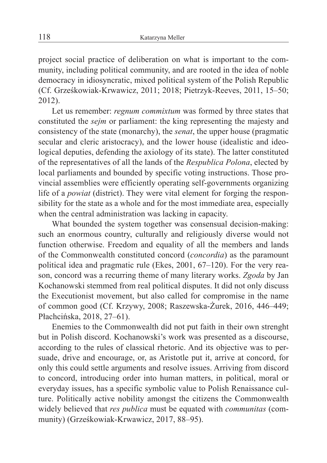project social practice of deliberation on what is important to the community, including political community, and are rooted in the idea of noble democracy in idiosyncratic, mixed political system of the Polish Republic (Cf. Grześkowiak-Krwawicz, 2011; 2018; Pietrzyk-Reeves, 2011, 15–50; 2012).

Let us remember: *regnum commixtum* was formed by three states that constituted the *sejm* or parliament: the king representing the majesty and consistency of the state (monarchy), the *senat*, the upper house (pragmatic secular and cleric aristocracy), and the lower house (idealistic and ideological deputies, defending the axiology of its state). The latter constituted of the representatives of all the lands of the *Respublica Polona*, elected by local parliaments and bounded by specific voting instructions. Those provincial assemblies were efficiently operating self-governments organizing life of a *powiat* (district). They were vital element for forging the responsibility for the state as a whole and for the most immediate area, especially when the central administration was lacking in capacity.

What bounded the system together was consensual decision-making: such an enormous country, culturally and religiously diverse would not function otherwise. Freedom and equality of all the members and lands of the Commonwealth constituted concord (*concordia*) as the paramount political idea and pragmatic rule (Ekes, 2001, 67–120). For the very reason, concord was a recurring theme of many literary works. *Zgoda* by Jan Kochanowski stemmed from real political disputes. It did not only discuss the Executionist movement, but also called for compromise in the name of common good (Cf. Krzywy, 2008; Raszewska-Żurek, 2016, 446–449; Płachcińska, 2018, 27–61).

Enemies to the Commonwealth did not put faith in their own strenght but in Polish discord. Kochanowski's work was presented as a discourse, according to the rules of classical rhetoric. And its objective was to persuade, drive and encourage, or, as Aristotle put it, arrive at concord, for only this could settle arguments and resolve issues. Arriving from discord to concord, introducing order into human matters, in political, moral or everyday issues, has a specific symbolic value to Polish Renaissance culture. Politically active nobility amongst the citizens the Commonwealth widely believed that *res publica* must be equated with *communitas* (community) (Grześkowiak-Krwawicz, 2017, 88–95).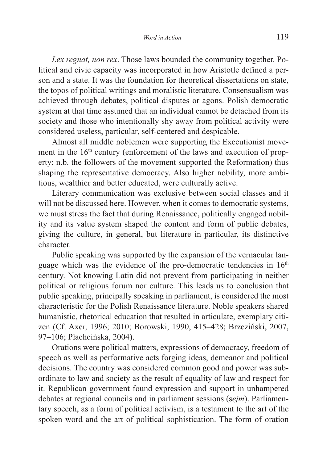*Lex regnat, non rex*. Those laws bounded the community together. Political and civic capacity was incorporated in how Aristotle defined a person and a state. It was the foundation for theoretical dissertations on state, the topos of political writings and moralistic literature. Consensualism was achieved through debates, political disputes or agons. Polish democratic system at that time assumed that an individual cannot be detached from its society and those who intentionally shy away from political activity were considered useless, particular, self-centered and despicable.

Almost all middle noblemen were supporting the Executionist movement in the  $16<sup>th</sup>$  century (enforcement of the laws and execution of property; n.b. the followers of the movement supported the Reformation) thus shaping the representative democracy. Also higher nobility, more ambitious, wealthier and better educated, were culturally active.

Literary communication was exclusive between social classes and it will not be discussed here. However, when it comes to democratic systems, we must stress the fact that during Renaissance, politically engaged nobility and its value system shaped the content and form of public debates, giving the culture, in general, but literature in particular, its distinctive character.

Public speaking was supported by the expansion of the vernacular language which was the evidence of the pro-democratic tendencies in 16<sup>th</sup> century. Not knowing Latin did not prevent from participating in neither political or religious forum nor culture. This leads us to conclusion that public speaking, principally speaking in parliament, is considered the most characteristic for the Polish Renaissance literature. Noble speakers shared humanistic, rhetorical education that resulted in articulate, exemplary citizen (Cf. Axer, 1996; 2010; Borowski, 1990, 415–428; Brzeziński, 2007, 97–106; Płachcińska, 2004).

Orations were political matters, expressions of democracy, freedom of speech as well as performative acts forging ideas, demeanor and political decisions. The country was considered common good and power was subordinate to law and society as the result of equality of law and respect for it. Republican government found expression and support in unhampered debates at regional councils and in parliament sessions (s*ejm*). Parliamentary speech, as a form of political activism, is a testament to the art of the spoken word and the art of political sophistication. The form of oration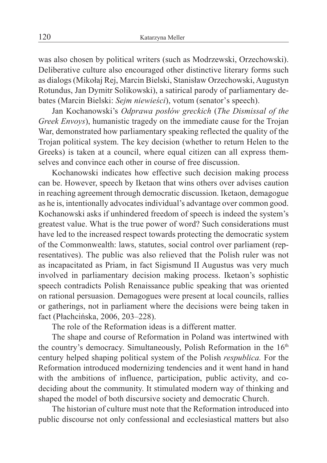was also chosen by political writers (such as Modrzewski, Orzechowski). Deliberative culture also encouraged other distinctive literary forms such as dialogs (Mikołaj Rej, Marcin Bielski, Stanisław Orzechowski, Augustyn Rotundus, Jan Dymitr Solikowski), a satirical parody of parliamentary debates (Marcin Bielski: *Sejm niewieści*), votum (senator's speech).

Jan Kochanowski's *Odprawa posłów greckich* (*The Dismissal of the Greek Envoys*), humanistic tragedy on the immediate cause for the Trojan War, demonstrated how parliamentary speaking reflected the quality of the Trojan political system. The key decision (whether to return Helen to the Greeks) is taken at a council, where equal citizen can all express themselves and convince each other in course of free discussion.

Kochanowski indicates how effective such decision making process can be. However, speech by Iketaon that wins others over advises caution in reaching agreement through democratic discussion. Iketaon, demagogue as he is, intentionally advocates individual's advantage over common good. Kochanowski asks if unhindered freedom of speech is indeed the system's greatest value. What is the true power of word? Such considerations must have led to the increased respect towards protecting the democratic system of the Commonwealth: laws, statutes, social control over parliament (representatives). The public was also relieved that the Polish ruler was not as incapacitated as Priam, in fact Sigismund II Augustus was very much involved in parliamentary decision making process. Iketaon's sophistic speech contradicts Polish Renaissance public speaking that was oriented on rational persuasion. Demagogues were present at local councils, rallies or gatherings, not in parliament where the decisions were being taken in fact (Płachcińska, 2006, 203–228).

The role of the Reformation ideas is a different matter.

The shape and course of Reformation in Poland was intertwined with the country's democracy. Simultaneously, Polish Reformation in the  $16<sup>th</sup>$ century helped shaping political system of the Polish *respublica.* For the Reformation introduced modernizing tendencies and it went hand in hand with the ambitions of influence, participation, public activity, and codeciding about the community. It stimulated modern way of thinking and shaped the model of both discursive society and democratic Church.

The historian of culture must note that the Reformation introduced into public discourse not only confessional and ecclesiastical matters but also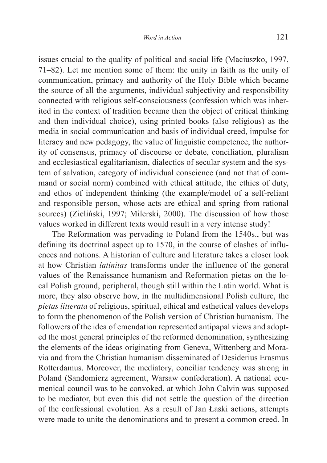issues crucial to the quality of political and social life (Maciuszko, 1997, 71–82). Let me mention some of them: the unity in faith as the unity of communication, primacy and authority of the Holy Bible which became the source of all the arguments, individual subjectivity and responsibility connected with religious self-consciousness (confession which was inherited in the context of tradition became then the object of critical thinking and then individual choice), using printed books (also religious) as the media in social communication and basis of individual creed, impulse for literacy and new pedagogy, the value of linguistic competence, the authority of consensus, primacy of discourse or debate, conciliation, pluralism and ecclesiastical egalitarianism, dialectics of secular system and the system of salvation, category of individual conscience (and not that of command or social norm) combined with ethical attitude, the ethics of duty, and ethos of independent thinking (the example/model of a self-reliant and responsible person, whose acts are ethical and spring from rational sources) (Zieliński, 1997; Milerski, 2000). The discussion of how those values worked in different texts would result in a very intense study!

The Reformation was pervading to Poland from the 1540s., but was defining its doctrinal aspect up to 1570, in the course of clashes of influences and notions. A historian of culture and literature takes a closer look at how Christian *latinitas* transforms under the influence of the general values of the Renaissance humanism and Reformation pietas on the local Polish ground, peripheral, though still within the Latin world. What is more, they also observe how, in the multidimensional Polish culture, the *pietas litterata* of religious, spiritual, ethical and esthetical values develops to form the phenomenon of the Polish version of Christian humanism. The followers of the idea of emendation represented antipapal views and adopted the most general principles of the reformed denomination, synthesizing the elements of the ideas originating from Geneva, Wittenberg and Moravia and from the Christian humanism disseminated of Desiderius Erasmus Rotterdamus. Moreover, the mediatory, conciliar tendency was strong in Poland (Sandomierz agreement, Warsaw confederation). A national ecumenical council was to be convoked, at which John Calvin was supposed to be mediator, but even this did not settle the question of the direction of the confessional evolution. As a result of Jan Łaski actions, attempts were made to unite the denominations and to present a common creed. In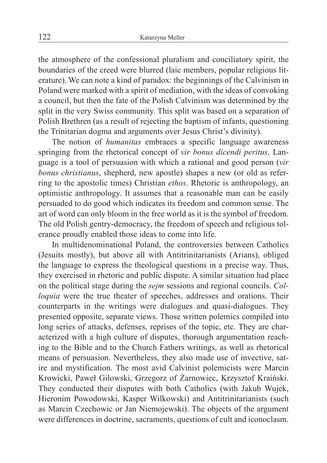the atmosphere of the confessional pluralism and conciliatory spirit, the boundaries of the creed were blurred (laic members, popular religious literature). We can note a kind of paradox: the beginnings of the Calvinism in Poland were marked with a spirit of mediation, with the ideas of convoking a council, but then the fate of the Polish Calvinism was determined by the split in the very Swiss community. This split was based on a separation of Polish Brethren (as a result of rejecting the baptism of infants, questioning the Trinitarian dogma and arguments over Jesus Christ's divinity).

The notion of *humanitas* embraces a specific language awareness springing from the rhetorical concept of *vir bonus dicendi peritus*. Language is a tool of persuasion with which a rational and good person (*vir bonus christianus*, shepherd, new apostle) shapes a new (or old as referring to the apostolic times) Christian *ethos*. Rhetoric is anthropology, an optimistic anthropology. It assumes that a reasonable man can be easily persuaded to do good which indicates its freedom and common sense. The art of word can only bloom in the free world as it is the symbol of freedom. The old Polish gentry-democracy, the freedom of speech and religious tolerance proudly enabled those ideas to come into life.

In multidenominational Poland, the controversies between Catholics (Jesuits mostly), but above all with Antitrinitarianists (Arians), obliged the language to express the theological questions in a precise way. Thus, they exercised in rhetoric and public dispute. A similar situation had place on the political stage during the *sejm* sessions and regional councils. *Colloquia* were the true theater of speeches, addresses and orations. Their counterparts in the writings were dialogues and quasi-dialogues. They presented opposite, separate views. Those written polemics compiled into long series of attacks, defenses, reprises of the topic, etc. They are characterized with a high culture of disputes, thorough argumentation reaching to the Bible and to the Church Fathers writings, as well as rhetorical means of persuasion. Nevertheless, they also made use of invective, satire and mystification. The most avid Calvinist polemicists were Marcin Krowicki, Paweł Gilowski, Grzegorz of Żarnowiec, Krzysztof Kraiński. They conducted their disputes with both Catholics (with Jakub Wujek, Hieronim Powodowski, Kasper Wilkowski) and Antitrinitarianists (such as Marcin Czechowic or Jan Niemojewski). The objects of the argument were differences in doctrine, sacraments, questions of cult and iconoclasm.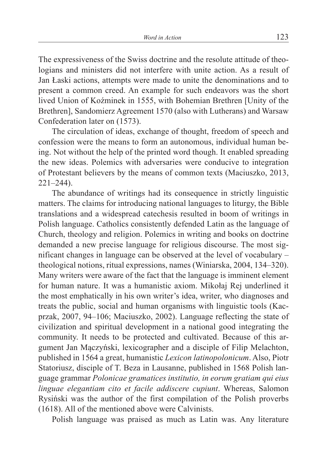The expressiveness of the Swiss doctrine and the resolute attitude of theologians and ministers did not interfere with unite action. As a result of Jan Łaski actions, attempts were made to unite the denominations and to present a common creed. An example for such endeavors was the short lived Union of Koźminek in 1555, with Bohemian Brethren [Unity of the Brethren], Sandomierz Agreement 1570 (also with Lutherans) and Warsaw Confederation later on (1573).

The circulation of ideas, exchange of thought, freedom of speech and confession were the means to form an autonomous, individual human being. Not without the help of the printed word though. It enabled spreading the new ideas. Polemics with adversaries were conducive to integration of Protestant believers by the means of common texts (Maciuszko, 2013, 221–244).

The abundance of writings had its consequence in strictly linguistic matters. The claims for introducing national languages to liturgy, the Bible translations and a widespread catechesis resulted in boom of writings in Polish language. Catholics consistently defended Latin as the language of Church, theology and religion. Polemics in writing and books on doctrine demanded a new precise language for religious discourse. The most significant changes in language can be observed at the level of vocabulary – theological notions, ritual expressions, names (Winiarska, 2004, 134–320). Many writers were aware of the fact that the language is imminent element for human nature. It was a humanistic axiom. Mikołaj Rej underlined it the most emphatically in his own writer's idea, writer, who diagnoses and treats the public, social and human organisms with linguistic tools (Kacprzak, 2007, 94–106; Maciuszko, 2002). Language reflecting the state of civilization and spiritual development in a national good integrating the community. It needs to be protected and cultivated. Because of this argument Jan Mączyński, lexicographer and a disciple of Filip Melachton, published in 1564 a great, humanistic *Lexicon latinopolonicum*. Also, Piotr Statoriusz, disciple of T. Beza in Lausanne, published in 1568 Polish language grammar *Polonicae gramatices institutio, in eorum gratiam qui eius linguae elegantiam cito et facile addiscere cupiunt*. Whereas, Salomon Rysiński was the author of the first compilation of the Polish proverbs (1618). All of the mentioned above were Calvinists.

Polish language was praised as much as Latin was. Any literature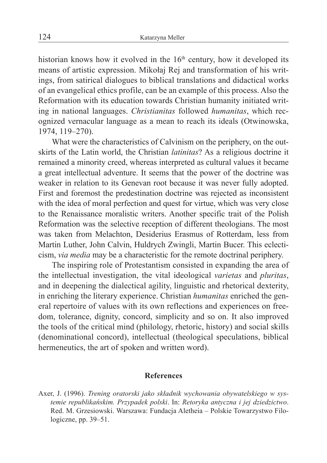historian knows how it evolved in the  $16<sup>th</sup>$  century, how it developed its means of artistic expression. Mikołaj Rej and transformation of his writings, from satirical dialogues to biblical translations and didactical works of an evangelical ethics profile, can be an example of this process. Also the Reformation with its education towards Christian humanity initiated writing in national languages. *Christianitas* followed *humanitas*, which recognized vernacular language as a mean to reach its ideals (Otwinowska, 1974, 119–270).

What were the characteristics of Calvinism on the periphery, on the outskirts of the Latin world, the Christian *latinitas*? As a religious doctrine it remained a minority creed, whereas interpreted as cultural values it became a great intellectual adventure. It seems that the power of the doctrine was weaker in relation to its Genevan root because it was never fully adopted. First and foremost the predestination doctrine was rejected as inconsistent with the idea of moral perfection and quest for virtue, which was very close to the Renaissance moralistic writers. Another specific trait of the Polish Reformation was the selective reception of different theologians. The most was taken from Melachton, Desiderius Erasmus of Rotterdam, less from Martin Luther, John Calvin, Huldrych Zwingli, Martin Bucer. This eclecticism, *via media* may be a characteristic for the remote doctrinal periphery.

The inspiring role of Protestantism consisted in expanding the area of the intellectual investigation, the vital ideological *varietas* and *pluritas*, and in deepening the dialectical agility, linguistic and rhetorical dexterity, in enriching the literary experience. Christian *humanitas* enriched the general repertoire of values with its own reflections and experiences on freedom, tolerance, dignity, concord, simplicity and so on. It also improved the tools of the critical mind (philology, rhetoric, history) and social skills (denominational concord), intellectual (theological speculations, biblical hermeneutics, the art of spoken and written word).

## **References**

Axer, J. (1996). *Trening oratorski jako składnik wychowania obywatelskiego w systemie republikańskim. Przypadek polski*. In: *Retoryka antyczna i jej dziedzictwo*. Red. M. Grzesiowski. Warszawa: Fundacja Aletheia – Polskie Towarzystwo Filologiczne, pp. 39–51.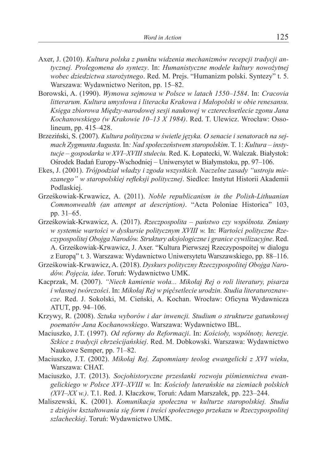- Axer, J. (2010). *Kultura polska z punktu widzenia mechanizmów recepcji tradycji antycznej. Prolegomena do syntezy*. In: *Humanistyczne modele kultury nowożytnej wobec dziedzictwa starożytnego*. Red. M. Prejs. "Humanizm polski. Syntezy" t. 5. Warszawa: Wydawnictwo Neriton, pp. 15–82.
- Borowski, A. (1990). *Wymowa sejmowa w Polsce w latach 1550–1584*. In: *Cracovia litterarum. Kultura umysłowa i literacka Krakowa i Małopolski w obie renesansu. Księga zbiorowa Między-narodowej sesji naukowej w czterechsetlecie zgonu Jana Kochanowskiego (w Krakowie 10–13 X 1984)*. Red. T. Ulewicz. Wrocław: Ossolineum, pp. 415–428.
- Brzeziński, S. (2007). *Kultura polityczna w świetle języka. O senacie i senatorach na sejmach Zygmunta Augusta.* In*: Nad społeczeństwem staropolskim*. T. 1: *Kultura – instytucje – gospodarka w XVI–XVIII stuleciu.* Red. K. Łopatecki, W. Walczak. Białystok: Ośrodek Badań Europy-Wschodniej – Uniwersytet w Białymstoku, pp. 97–106.
- Ekes, J. (2001). *Trójpodział władzy i zgoda wszystkich. Naczelne zasady "ustroju mieszanego" w staropolskiej refleksji politycznej*. Siedlce: Instytut Historii Akademii Podlaskiej.
- Grześkowiak-Krwawicz, A. (2011). *Noble republicanism in the Polish-Lithuanian Commonwealth (an attempt at description)*. "Acta Poloniae Historica" 103, pp. 31–65.
- Grześkowiak-Krwawicz, A. (2017). *Rzeczpospolita państwo czy wspólnota. Zmiany w systemie wartości w dyskursie politycznym XVIII w.* In: *Wartości polityczne Rzeczypospolitej Obojga Narodów. Struktury aksjologiczne i granice cywilizacyjne*. Red. A. Grześkowiak-Krwawicz, J. Axer. "Kultura Pierwszej Rzeczypospoitej w dialogu z Europą" t. 3. Warszawa: Wydawnictwo Uniwersytetu Warszawskiego, pp. 88–116.
- Grześkowiak-Krwawicz, A. (2018). *Dyskurs polityczny Rzeczypospolitej Obojga Narodów. Pojęcia, idee*. Toruń: Wydawnictwo UMK.
- Kacprzak, M. (2007). *"Niech kamienie woła... Mikołaj Rej o roli literatury, pisarza i własnej twórczości*. In: *Mikołaj Rej w pięćsetlecie urodzin. Studia literaturoznawcze*. Red. J. Sokolski, M. Cieński, A. Kochan. Wrocław: Oficyna Wydawnicza ATUT, pp. 94–106.
- Krzywy, R. (2008). *Sztuka wyborów i dar inwencji. Studium o strukturze gatunkowej poematów Jana Kochanowskiego*. Warszawa: Wydawnictwo IBL.
- Maciuszko, J.T. (1997). *Od reformy do Reformacji*. In: *Kościoły, wspólnoty, herezje. Szkice z tradycji chrześcijańskiej*. Red. M. Dobkowski. Warszawa: Wydawnictwo Naukowe Semper, pp. 71–82.
- Maciuszko, J.T. (2002). *Mikołaj Rej. Zapomniany teolog ewangelicki z XVI wieku*, Warszawa: CHAT.
- Maciuszko, J.T. (2013). *Socjohistoryczne przesłanki rozwoju piśmiennictwa ewangelickiego w Polsce XVI–XVIII w.* In: *Kościoły luterańskie na ziemiach polskich (XVI–XX w.)*. T.1. Red. J. Kłaczkow, Toruń: Adam Marszałek, pp. 223–244.
- Maliszewski, K. (2001). *Komunikacja społeczna w kulturze staropolskiej. Studia z dziejów kształtowania się form i treści społecznego przekazu w Rzeczypospolitej szlacheckiej*. Toruń: Wydawnictwo UMK.